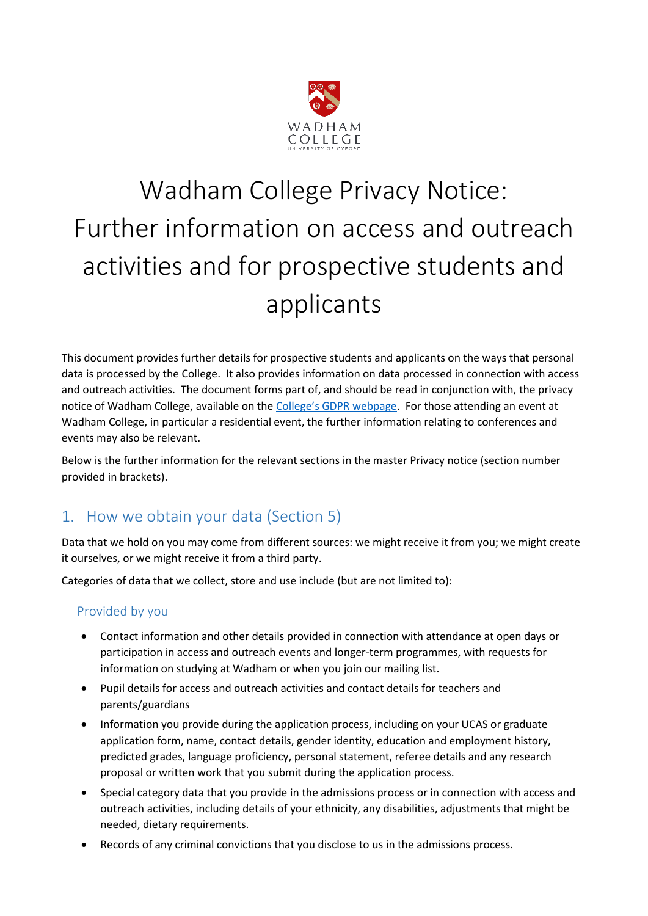

# Wadham College Privacy Notice: Further information on access and outreach activities and for prospective students and applicants

This document provides further details for prospective students and applicants on the ways that personal data is processed by the College. It also provides information on data processed in connection with access and outreach activities. The document forms part of, and should be read in conjunction with, the privacy notice of Wadham College, available on the [College's GDPR webpage](https://www.wadham.ox.ac.uk/governance/wadham-college-gdpr-framework). For those attending an event at Wadham College, in particular a residential event, the further information relating to conferences and events may also be relevant.

Below is the further information for the relevant sections in the master Privacy notice (section number provided in brackets).

# 1. How we obtain your data (Section 5)

Data that we hold on you may come from different sources: we might receive it from you; we might create it ourselves, or we might receive it from a third party.

Categories of data that we collect, store and use include (but are not limited to):

## Provided by you

- Contact information and other details provided in connection with attendance at open days or participation in access and outreach events and longer-term programmes, with requests for information on studying at Wadham or when you join our mailing list.
- Pupil details for access and outreach activities and contact details for teachers and parents/guardians
- Information you provide during the application process, including on your UCAS or graduate application form, name, contact details, gender identity, education and employment history, predicted grades, language proficiency, personal statement, referee details and any research proposal or written work that you submit during the application process.
- Special category data that you provide in the admissions process or in connection with access and outreach activities, including details of your ethnicity, any disabilities, adjustments that might be needed, dietary requirements.
- Records of any criminal convictions that you disclose to us in the admissions process.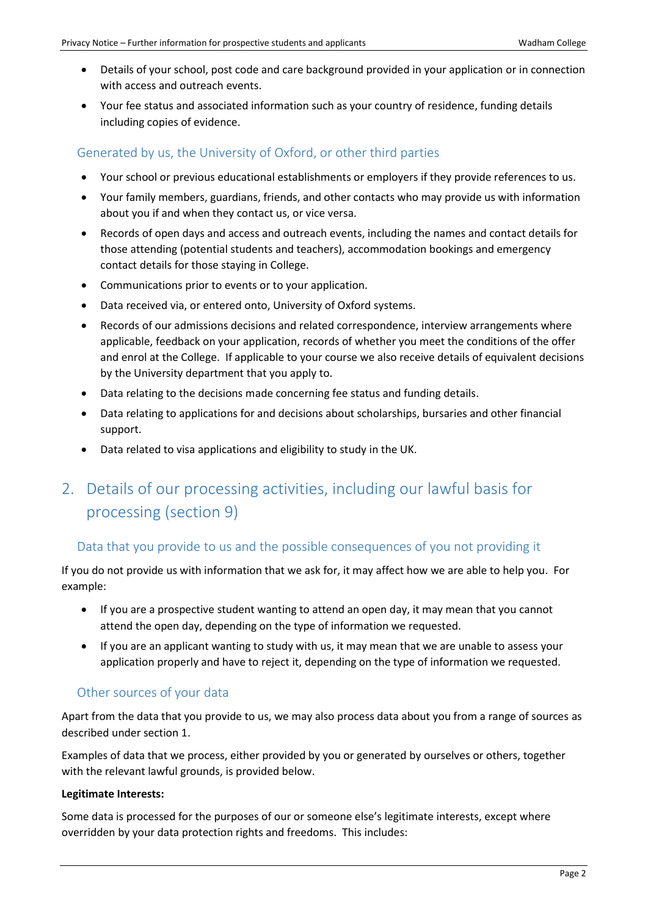- Details of your school, post code and care background provided in your application or in connection with access and outreach events.
- Your fee status and associated information such as your country of residence, funding details including copies of evidence.

## Generated by us, the University of Oxford, or other third parties

- Your school or previous educational establishments or employers if they provide references to us.
- Your family members, guardians, friends, and other contacts who may provide us with information about you if and when they contact us, or vice versa.
- Records of open days and access and outreach events, including the names and contact details for those attending (potential students and teachers), accommodation bookings and emergency contact details for those staying in College.
- Communications prior to events or to your application.
- Data received via, or entered onto, University of Oxford systems.
- Records of our admissions decisions and related correspondence, interview arrangements where applicable, feedback on your application, records of whether you meet the conditions of the offer and enrol at the College. If applicable to your course we also receive details of equivalent decisions by the University department that you apply to.
- Data relating to the decisions made concerning fee status and funding details.
- Data relating to applications for and decisions about scholarships, bursaries and other financial support.
- Data related to visa applications and eligibility to study in the UK.
- 2. Details of our processing activities, including our lawful basis for processing (section 9)

## Data that you provide to us and the possible consequences of you not providing it

If you do not provide us with information that we ask for, it may affect how we are able to help you. For example:

- If you are a prospective student wanting to attend an open day, it may mean that you cannot attend the open day, depending on the type of information we requested.
- If you are an applicant wanting to study with us, it may mean that we are unable to assess your application properly and have to reject it, depending on the type of information we requested.

#### Other sources of your data

Apart from the data that you provide to us, we may also process data about you from a range of sources as described under section 1.

Examples of data that we process, either provided by you or generated by ourselves or others, together with the relevant lawful grounds, is provided below.

#### **Legitimate Interests:**

Some data is processed for the purposes of our or someone else's legitimate interests, except where overridden by your data protection rights and freedoms. This includes: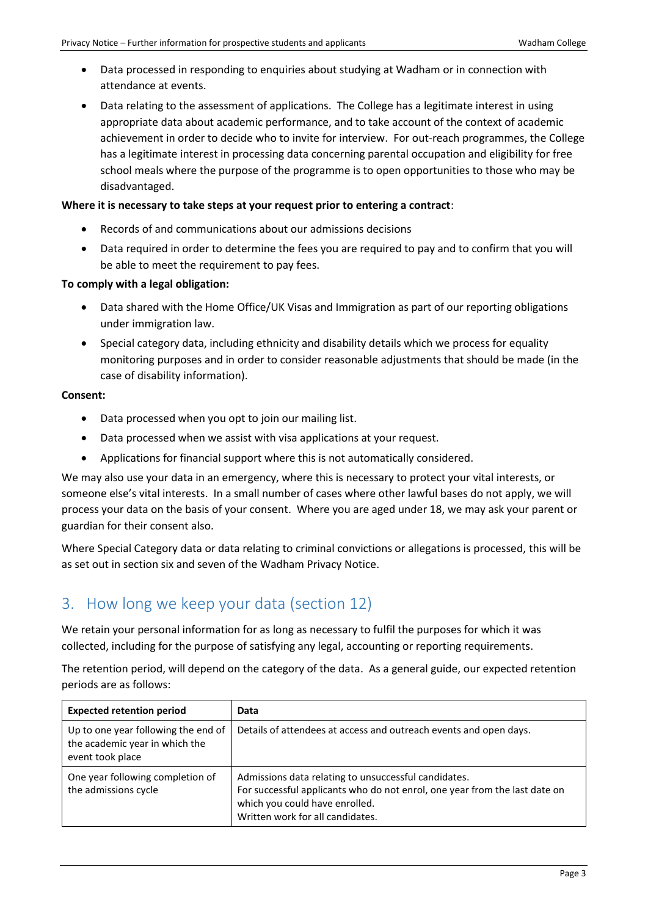- Data processed in responding to enquiries about studying at Wadham or in connection with attendance at events.
- Data relating to the assessment of applications. The College has a legitimate interest in using appropriate data about academic performance, and to take account of the context of academic achievement in order to decide who to invite for interview. For out-reach programmes, the College has a legitimate interest in processing data concerning parental occupation and eligibility for free school meals where the purpose of the programme is to open opportunities to those who may be disadvantaged.

#### **Where it is necessary to take steps at your request prior to entering a contract**:

- Records of and communications about our admissions decisions
- Data required in order to determine the fees you are required to pay and to confirm that you will be able to meet the requirement to pay fees.

#### **To comply with a legal obligation:**

- Data shared with the Home Office/UK Visas and Immigration as part of our reporting obligations under immigration law.
- Special category data, including ethnicity and disability details which we process for equality monitoring purposes and in order to consider reasonable adjustments that should be made (in the case of disability information).

#### **Consent:**

- Data processed when you opt to join our mailing list.
- Data processed when we assist with visa applications at your request.
- Applications for financial support where this is not automatically considered.

We may also use your data in an emergency, where this is necessary to protect your vital interests, or someone else's vital interests. In a small number of cases where other lawful bases do not apply, we will process your data on the basis of your consent. Where you are aged under 18, we may ask your parent or guardian for their consent also.

Where Special Category data or data relating to criminal convictions or allegations is processed, this will be as set out in section six and seven of the Wadham Privacy Notice.

# 3. How long we keep your data (section 12)

We retain your personal information for as long as necessary to fulfil the purposes for which it was collected, including for the purpose of satisfying any legal, accounting or reporting requirements.

The retention period, will depend on the category of the data. As a general guide, our expected retention periods are as follows:

| <b>Expected retention period</b>                                                          | Data                                                                                                                                                                                                     |  |
|-------------------------------------------------------------------------------------------|----------------------------------------------------------------------------------------------------------------------------------------------------------------------------------------------------------|--|
| Up to one year following the end of<br>the academic year in which the<br>event took place | Details of attendees at access and outreach events and open days.                                                                                                                                        |  |
| One year following completion of<br>the admissions cycle                                  | Admissions data relating to unsuccessful candidates.<br>For successful applicants who do not enrol, one year from the last date on<br>which you could have enrolled.<br>Written work for all candidates. |  |